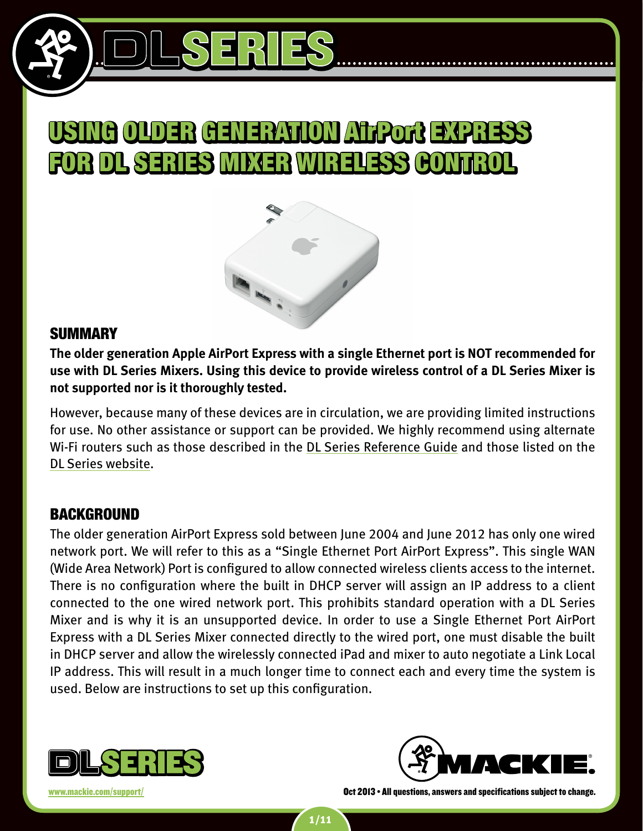



## **SUMMARY**

**The older generation Apple AirPort Express with a single Ethernet port is NOT recommended for use with DL Series Mixers. Using this device to provide wireless control of a DL Series Mixer is not supported nor is it thoroughly tested.**

However, because many of these devices are in circulation, we are providing limited instructions for use. No other assistance or support can be provided. We highly recommend using alternate Wi-Fi routers such as those described in the [DL Series Reference Guide](http://www.mackie.com/products/dlseries/downloads/manuals/DLSeries_RG.pdf) and those listed on the [DL Series website](http://www.mackie.com/products/dlseries/downloads/support/DL1608_Tested_WiFi_Routers.pdf).

## **BACKGROUND**

The older generation AirPort Express sold between June 2004 and June 2012 has only one wired network port. We will refer to this as a "Single Ethernet Port AirPort Express". This single WAN (Wide Area Network) Port is configured to allow connected wireless clients access to the internet. There is no configuration where the built in DHCP server will assign an IP address to a client connected to the one wired network port. This prohibits standard operation with a DL Series Mixer and is why it is an unsupported device. In order to use a Single Ethernet Port AirPort Express with a DL Series Mixer connected directly to the wired port, one must disable the built in DHCP server and allow the wirelessly connected iPad and mixer to auto negotiate a Link Local IP address. This will result in a much longer time to connect each and every time the system is used. Below are instructions to set up this configuration.

1/11



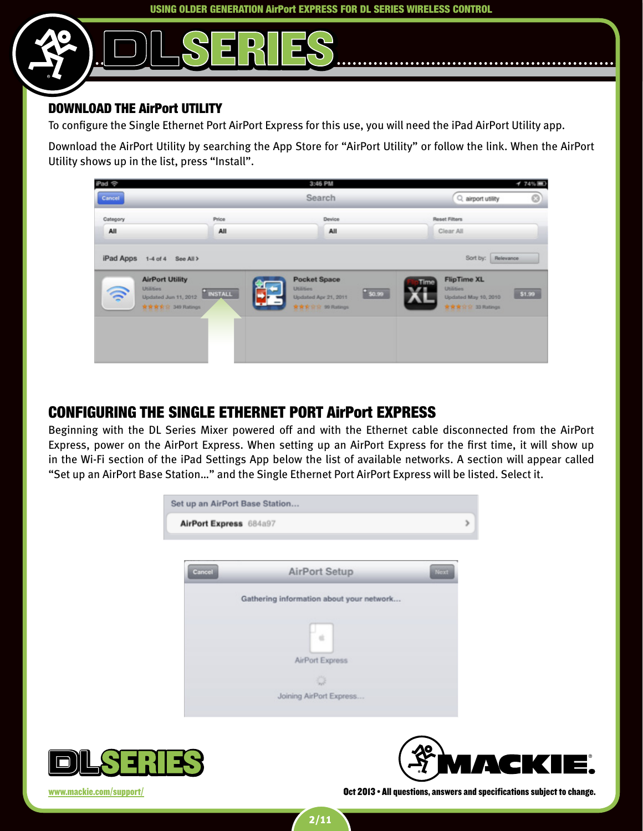### Download the AirPort Utility

To configure the Single Ethernet Port AirPort Express for this use, you will need the iPad AirPort Utility app.

Download the AirPort Utility by searching the App Store for "AirPort Utility" or follow the link. When the AirPort Utility shows up in the list, press "Install".



# Configuring the Single Ethernet Port AirPort Express

Beginning with the DL Series Mixer powered off and with the Ethernet cable disconnected from the AirPort Express, power on the AirPort Express. When setting up an AirPort Express for the first time, it will show up in the Wi-Fi section of the iPad Settings App below the list of available networks. A section will appear called "Set up an AirPort Base Station…" and the Single Ethernet Port AirPort Express will be listed. Select it.





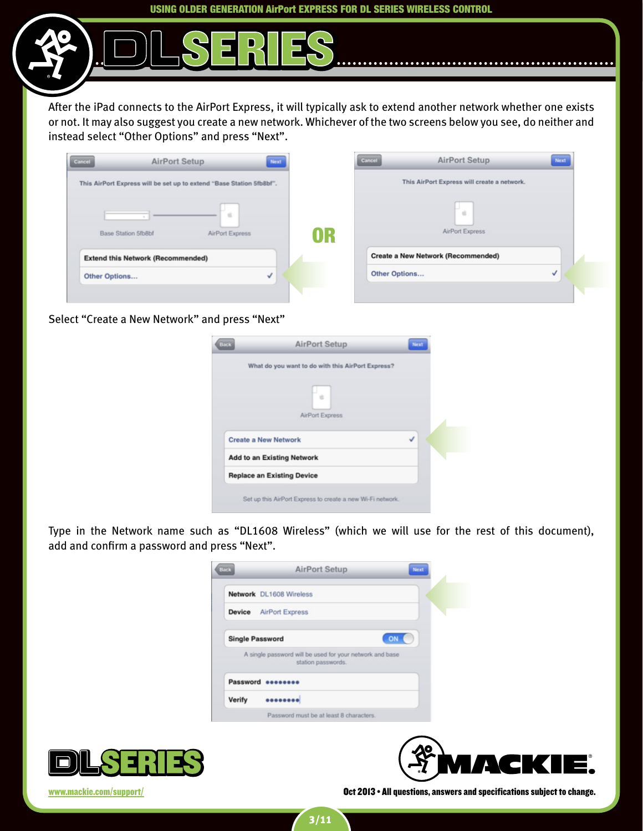After the iPad connects to the AirPort Express, it will typically ask to extend another network whether one exists or not. It may also suggest you create a new network. Whichever of the two screens below you see, do neither and instead select "Other Options" and press "Next".

| This AirPort Express will be set up to extend "Base Station 5fb8bf". |                 |    | This AirPort Express will create a network. |  |
|----------------------------------------------------------------------|-----------------|----|---------------------------------------------|--|
|                                                                      | ×               |    | $\alpha$                                    |  |
| <b>Base Station 5fb8bf</b>                                           | AirPort Express | OR | AirPort Express                             |  |
|                                                                      |                 |    | <b>Create a New Network (Recommended)</b>   |  |
| <b>Extend this Network (Recommended)</b>                             |                 |    |                                             |  |

Select "Create a New Network" and press "Next"

| <b>AirPort Setup</b><br>Next                      |  |
|---------------------------------------------------|--|
| What do you want to do with this AirPort Express? |  |
| AirPort Express                                   |  |
| J<br><b>Create a New Network</b>                  |  |
| <b>Add to an Existing Network</b>                 |  |
| <b>Replace an Existing Device</b>                 |  |
|                                                   |  |

Type in the Network name such as "DL1608 Wireless" (which we will use for the rest of this document), add and confirm a password and press "Next".

| <b>Back</b> | <b>AirPort Setup</b>                                                           | Next |
|-------------|--------------------------------------------------------------------------------|------|
|             | Network DL1608 Wireless                                                        |      |
| Device      | <b>AirPort Express</b>                                                         |      |
|             | <b>Single Password</b><br>ON                                                   |      |
|             | A single password will be used for your network and base<br>station passwords. |      |
|             | Password eeeeeee                                                               |      |
| Verify      |                                                                                |      |
|             | Password must be at least 8 characters.                                        |      |



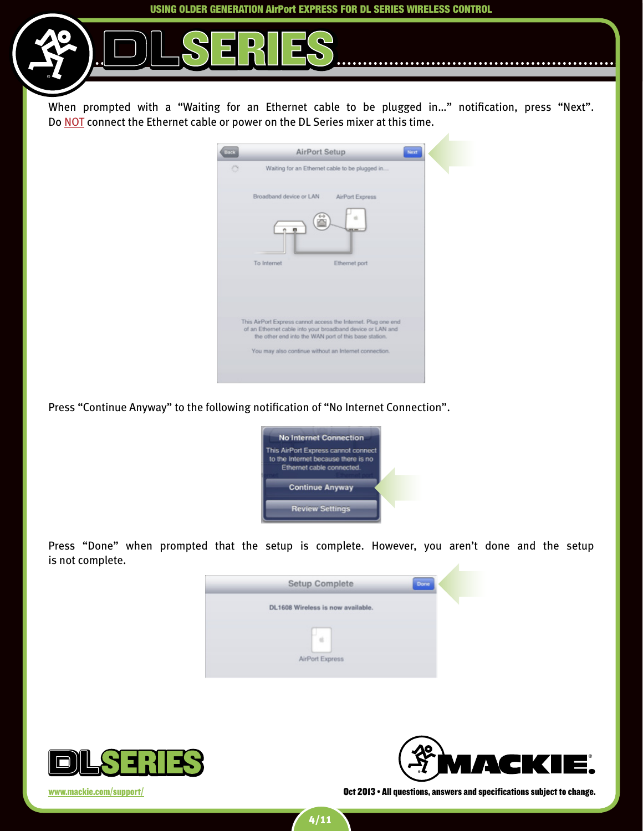When prompted with a "Waiting for an Ethernet cable to be plugged in..." notification, press "Next". Do NOT connect the Ethernet cable or power on the DL Series mixer at this time.

| <b>Back</b> | <b>AirPort Setup</b><br>Next                                                                                        |
|-------------|---------------------------------------------------------------------------------------------------------------------|
| ÷           | Waiting for an Ethernet cable to be plugged in                                                                      |
|             | Broadband device or LAN<br>AirPort Express                                                                          |
|             |                                                                                                                     |
|             | To Internet<br>Ethernet port                                                                                        |
|             | This AirPort Express cannot access the Internet. Plug one end                                                       |
|             | of an Ethernet cable into your broadband device or LAN and<br>the other end into the WAN port of this base station. |
|             | You may also continue without an Internet connection.                                                               |
|             |                                                                                                                     |

Press "Continue Anyway" to the following notification of "No Internet Connection".



Press "Done" when prompted that the setup is complete. However, you aren't done and the setup is not complete.





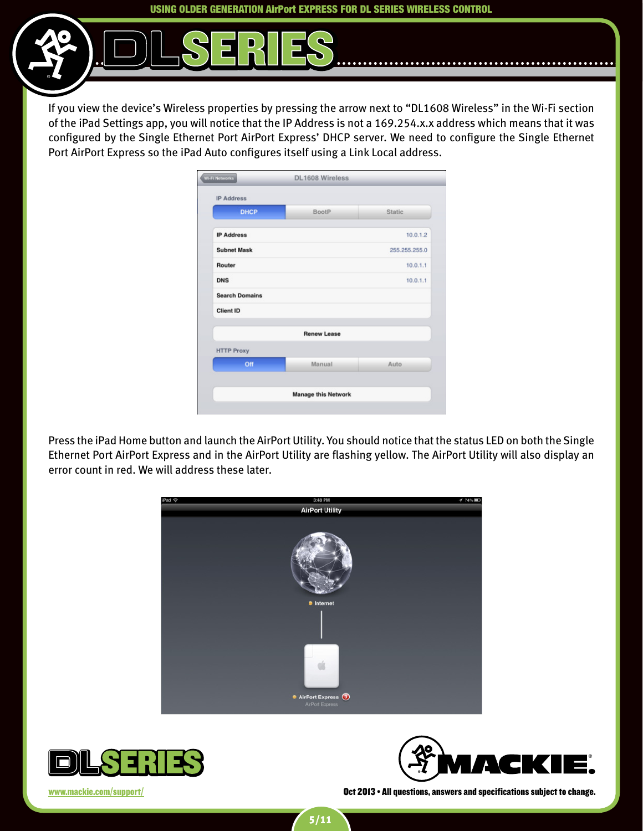If you view the device's Wireless properties by pressing the arrow next to "DL1608 Wireless" in the Wi-Fi section of the iPad Settings app, you will notice that the IP Address is not a 169.254.x.x address which means that it was configured by the Single Ethernet Port AirPort Express' DHCP server. We need to configure the Single Ethernet Port AirPort Express so the iPad Auto configures itself using a Link Local address.

| <b>IP Address</b>     |                            |               |
|-----------------------|----------------------------|---------------|
| <b>DHCP</b>           | <b>BootP</b>               | <b>Static</b> |
| <b>IP Address</b>     |                            | 10.0.1.2      |
| <b>Subnet Mask</b>    |                            | 255.255.255.0 |
| Router                |                            | 10.0.1.1      |
| <b>DNS</b>            |                            | 10.0.1.1      |
| <b>Search Domains</b> |                            |               |
| <b>Client ID</b>      |                            |               |
|                       | <b>Renew Lease</b>         |               |
| <b>HTTP Proxy</b>     |                            |               |
| Off                   | Manual                     | <b>Auto</b>   |
|                       | <b>Manage this Network</b> |               |

Press the iPad Home button and launch the AirPort Utility. You should notice that the status LED on both the Single Ethernet Port AirPort Express and in the AirPort Utility are flashing yellow. The AirPort Utility will also display an error count in red. We will address these later.





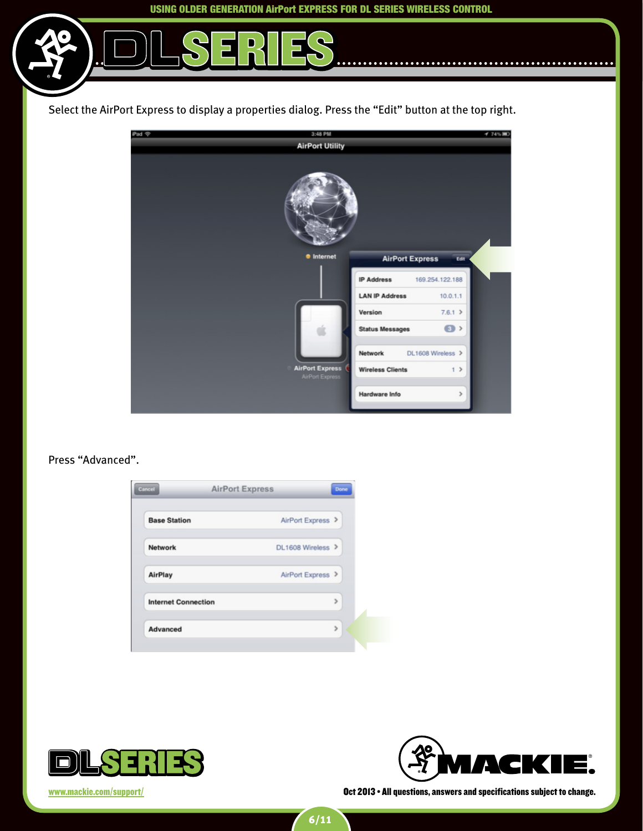$\bullet$ 



D



#### Press "Advanced".

| <b>Base Station</b>        | AirPort Express > |
|----------------------------|-------------------|
| Network                    | DL1608 Wireless > |
| AirPlay                    | AirPort Express > |
| <b>Internet Connection</b> | $\mathcal{P}$     |
| Advanced                   | $\mathcal{P}$     |



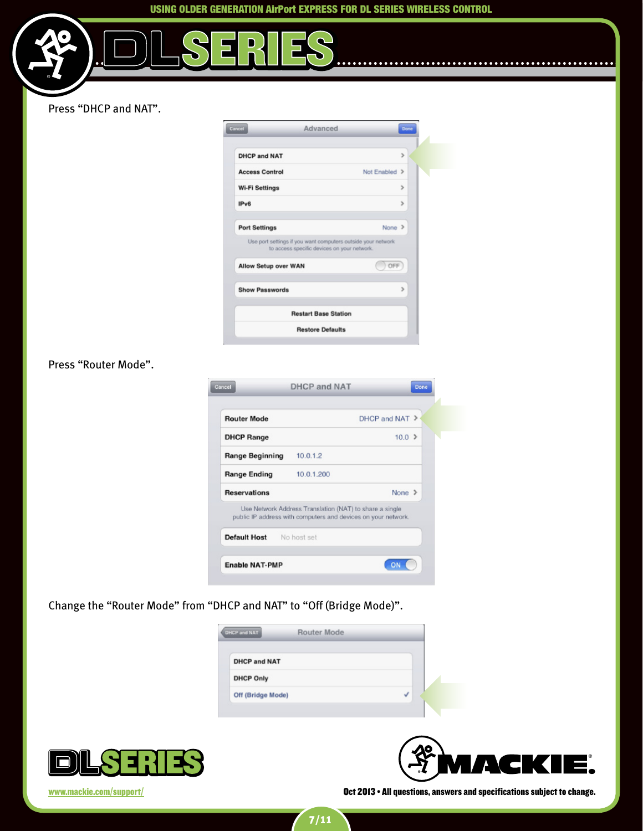$\ddot{\bullet}$ 

. . . . . . . . . . .

D



| Cancel<br>Advanced                                                                                          | Done          |
|-------------------------------------------------------------------------------------------------------------|---------------|
| <b>DHCP and NAT</b>                                                                                         | $\mathcal{P}$ |
| <b>Access Control</b>                                                                                       | Not Enabled > |
| <b>Wi-Fi Settings</b>                                                                                       | $\mathcal{P}$ |
| IP <sub>v6</sub>                                                                                            | $\mathcal{P}$ |
| <b>Port Settings</b>                                                                                        | $None$ $\ge$  |
| Use port settings if you want computers outside your network<br>to access specific devices on your network. |               |
| Allow Setup over WAN                                                                                        | OFF           |
| <b>Show Passwords</b>                                                                                       | ъ             |
|                                                                                                             |               |
| <b>Restart Base Station</b>                                                                                 |               |

#### Press "Router Mode".

| <b>Router Mode</b>       | $DHCP$ and NAT $\geq$                                                                                                    |  |
|--------------------------|--------------------------------------------------------------------------------------------------------------------------|--|
| <b>DHCP Range</b>        | $10.0$ >                                                                                                                 |  |
| <b>Range Beginning</b>   | 10.0.1.2                                                                                                                 |  |
| <b>Range Ending</b>      | 10.0.1.200                                                                                                               |  |
| <b>Reservations</b>      | None $\geq$                                                                                                              |  |
|                          | Use Network Address Translation (NAT) to share a single<br>public IP address with computers and devices on your network. |  |
| Default Host No host set |                                                                                                                          |  |

Change the "Router Mode" from "DHCP and NAT" to "Off (Bridge Mode)".

| <b>DHCP and NAT</b> | <b>Router Mode</b> |  |
|---------------------|--------------------|--|
| <b>DHCP and NAT</b> |                    |  |
| <b>DHCP Only</b>    |                    |  |
| Off (Bridge Mode)   |                    |  |



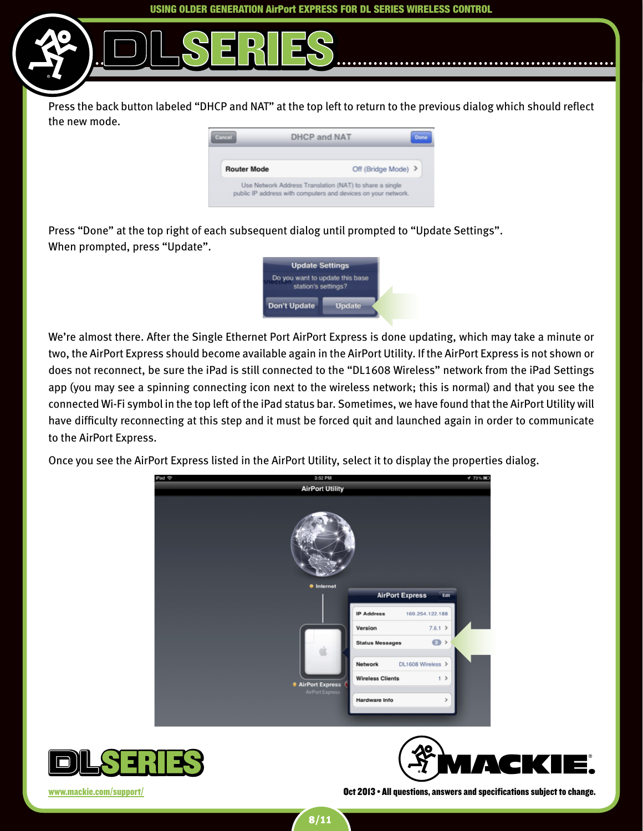Press the back button labeled "DHCP and NAT" at the top left to return to the previous dialog which should reflect the new mode.

| Cancel             | <b>DHCP and NAT</b>                                                                                                      | Done |
|--------------------|--------------------------------------------------------------------------------------------------------------------------|------|
| <b>Router Mode</b> | Off (Bridge Mode) >                                                                                                      |      |
|                    | Use Network Address Translation (NAT) to share a single<br>public IP address with computers and devices on your network. |      |

Press "Done" at the top right of each subsequent dialog until prompted to "Update Settings". When prompted, press "Update".



We're almost there. After the Single Ethernet Port AirPort Express is done updating, which may take a minute or two, the AirPort Express should become available again in the AirPort Utility. If the AirPort Express is not shown or does not reconnect, be sure the iPad is still connected to the "DL1608 Wireless" network from the iPad Settings app (you may see a spinning connecting icon next to the wireless network; this is normal) and that you see the connected Wi-Fi symbol in the top left of the iPad status bar. Sometimes, we have found that the AirPort Utility will have difficulty reconnecting at this step and it must be forced quit and launched again in order to communicate to the AirPort Express.

Once you see the AirPort Express listed in the AirPort Utility, select it to display the properties dialog.





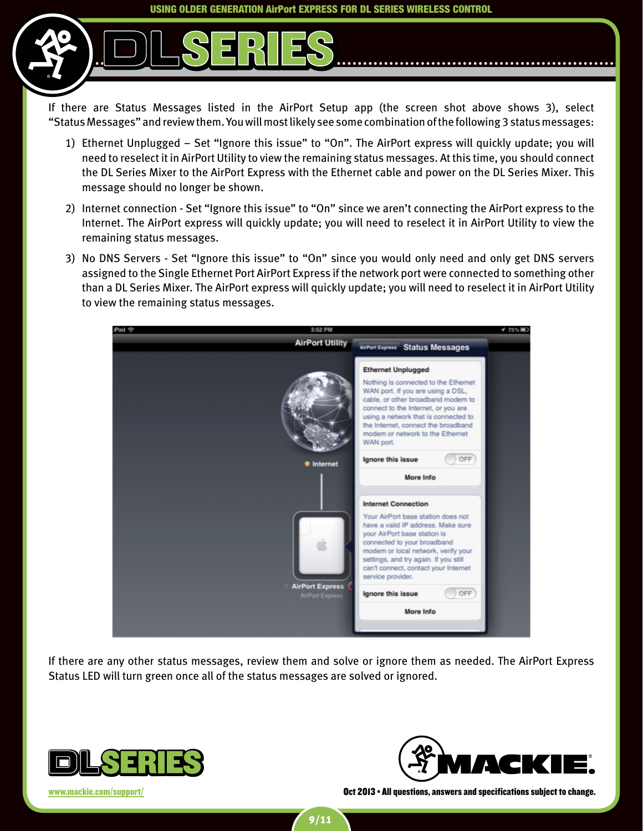If there are Status Messages listed in the AirPort Setup app (the screen shot above shows 3), select "Status Messages" and review them. You will most likely see some combination of the following 3 status messages:

- 1) Ethernet Unplugged Set "Ignore this issue" to "On". The AirPort express will quickly update; you will need to reselect it in AirPort Utility to view the remaining status messages. At this time, you should connect the DL Series Mixer to the AirPort Express with the Ethernet cable and power on the DL Series Mixer. This message should no longer be shown.
- 2) Internet connection Set "Ignore this issue" to "On" since we aren't connecting the AirPort express to the Internet. The AirPort express will quickly update; you will need to reselect it in AirPort Utility to view the remaining status messages.
- 3) No DNS Servers Set "Ignore this issue" to "On" since you would only need and only get DNS servers assigned to the Single Ethernet Port AirPort Express if the network port were connected to something other than a DL Series Mixer. The AirPort express will quickly update; you will need to reselect it in AirPort Utility to view the remaining status messages.



If there are any other status messages, review them and solve or ignore them as needed. The AirPort Express Status LED will turn green once all of the status messages are solved or ignored.

9/11



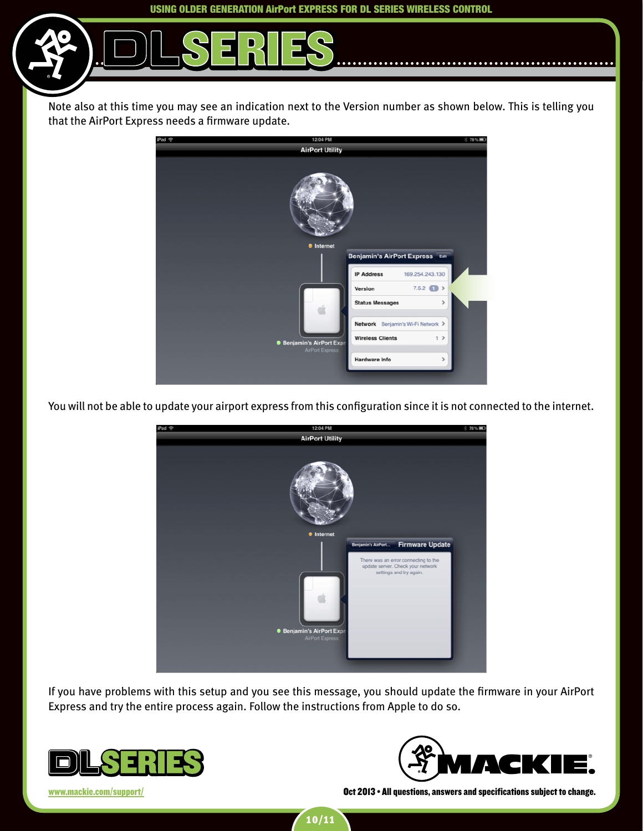Note also at this time you may see an indication next to the Version number as shown below. This is telling you that the AirPort Express needs a firmware update.



You will not be able to update your airport express from this configuration since it is not connected to the internet.



If you have problems with this setup and you see this message, you should update the firmware in your AirPort Express and try the entire process again. Follow the instructions from Apple to do so.





<www.mackie.com/support/> **Oct 2013 • All questions, answers and specifications subject to change.** 

10/11